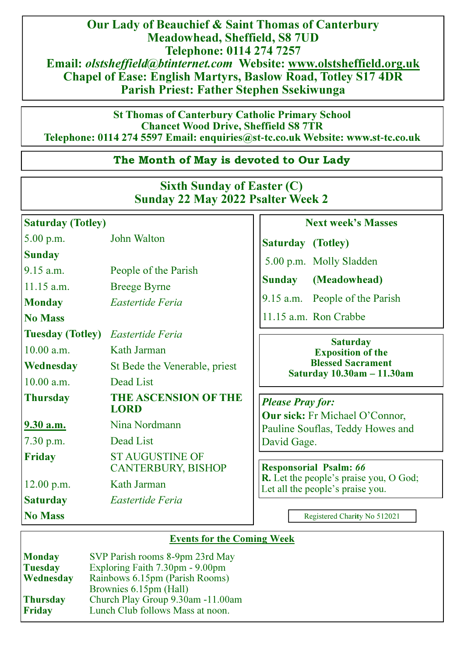Our Lady of Beauchief & Saint Thomas of Canterbury Meadowhead, Sheffield, S8 7UD Telephone: 0114 274 7257 Email: olstsheffield@btinternet.com Website: www.olstsheffield.org.uk Chapel of Ease: English Martyrs, Baslow Road, Totley S17 4DR Parish Priest: Father Stephen Ssekiwunga

St Thomas of Canterbury Catholic Primary School Chancet Wood Drive, Sheffield S8 7TR Telephone: 0114 274 5597 Email: enquiries@st**-**tc.co.uk Website: www.st**-**tc.co.uk

# The Month of May is devoted to Our Lady

# Sixth Sunday of Easter (C) Sunday 22 May 2022 Psalter Week 2

| <b>Saturday (Totley)</b>                 |                                                     | <b>Next week's Masses</b>                                                                                                                                                                                                                                                                           |
|------------------------------------------|-----------------------------------------------------|-----------------------------------------------------------------------------------------------------------------------------------------------------------------------------------------------------------------------------------------------------------------------------------------------------|
| 5.00 p.m.                                | John Walton                                         | <b>Saturday</b> (Totley)                                                                                                                                                                                                                                                                            |
| <b>Sunday</b>                            |                                                     | 5.00 p.m. Molly Sladden                                                                                                                                                                                                                                                                             |
| $9.15$ a.m.                              | People of the Parish                                | <b>Sunday</b><br>(Meadowhead)                                                                                                                                                                                                                                                                       |
| $11.15$ a.m.                             | <b>Breege Byrne</b>                                 |                                                                                                                                                                                                                                                                                                     |
| <b>Monday</b>                            | Eastertide Feria                                    | 9.15 a.m. People of the Parish                                                                                                                                                                                                                                                                      |
| <b>No Mass</b>                           |                                                     | 11.15 a.m. Ron Crabbe                                                                                                                                                                                                                                                                               |
| <b>Tuesday (Totley)</b> Eastertide Feria |                                                     |                                                                                                                                                                                                                                                                                                     |
| 10.00 a.m.                               | Kath Jarman                                         | <b>Saturday</b><br><b>Exposition of the</b>                                                                                                                                                                                                                                                         |
| Wednesday                                | St Bede the Venerable, priest                       | <b>Blessed Sacrament</b><br>Saturday 10.30am - 11.30am<br><b>Please Pray for:</b><br><b>Our sick:</b> Fr Michael O'Connor,<br>Pauline Souflas, Teddy Howes and<br>David Gage.<br><b>Responsorial Psalm: 66</b><br><b>R.</b> Let the people's praise you, O God;<br>Let all the people's praise you. |
| 10.00 a.m.                               | Dead List                                           |                                                                                                                                                                                                                                                                                                     |
| <b>Thursday</b>                          | <b>THE ASCENSION OF THE</b><br><b>LORD</b>          |                                                                                                                                                                                                                                                                                                     |
| 9.30 a.m.                                | Nina Nordmann                                       |                                                                                                                                                                                                                                                                                                     |
| $7.30$ p.m.                              | Dead List                                           |                                                                                                                                                                                                                                                                                                     |
| <b>Friday</b>                            | <b>ST AUGUSTINE OF</b><br><b>CANTERBURY, BISHOP</b> |                                                                                                                                                                                                                                                                                                     |
| $12.00$ p.m.                             | Kath Jarman                                         |                                                                                                                                                                                                                                                                                                     |
| <b>Saturday</b>                          | Eastertide Feria                                    |                                                                                                                                                                                                                                                                                                     |
| <b>No Mass</b>                           |                                                     | Registered Charity No 512021                                                                                                                                                                                                                                                                        |

## Events for the Coming Week

| <b>Monday</b>   | SVP Parish rooms 8-9pm 23rd May   |  |
|-----------------|-----------------------------------|--|
| <b>Tuesday</b>  | Exploring Faith 7.30pm - 9.00pm   |  |
| Wednesday       | Rainbows 6.15pm (Parish Rooms)    |  |
|                 | Brownies 6.15pm (Hall)            |  |
| <b>Thursday</b> | Church Play Group 9.30am -11.00am |  |
| <b>Friday</b>   | Lunch Club follows Mass at noon.  |  |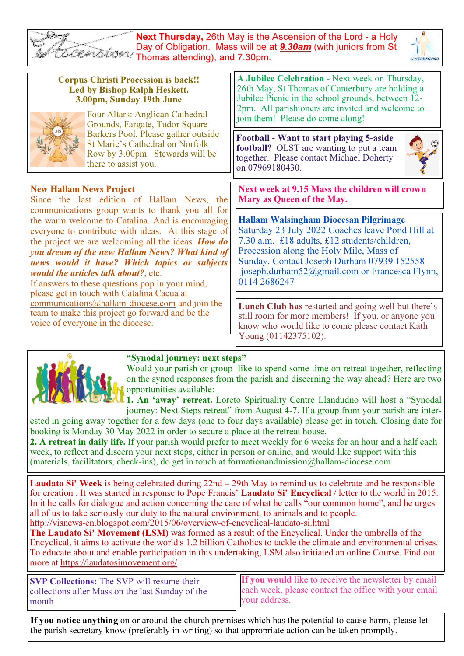| <b>Next Thursday, 26th May is the Ascension of the Lord - a Holy</b><br>Day of Obligation. Mass will be at <b>9.30am</b> (with juniors from St<br>Thomas attending), and 7.30pm.                                                                                                                                                                                                                         |                                                                                                                                                                                                                                                                                                            |  |  |  |
|----------------------------------------------------------------------------------------------------------------------------------------------------------------------------------------------------------------------------------------------------------------------------------------------------------------------------------------------------------------------------------------------------------|------------------------------------------------------------------------------------------------------------------------------------------------------------------------------------------------------------------------------------------------------------------------------------------------------------|--|--|--|
| <b>Corpus Christi Procession is back!!</b><br><b>Led by Bishop Ralph Heskett.</b><br>3.00pm, Sunday 19th June<br>Four Altars: Anglican Cathedral<br>Grounds, Fargate, Tudor Square                                                                                                                                                                                                                       | A Jubilee Celebration - Next week on Thursday,<br>26th May, St Thomas of Canterbury are holding a<br>Jubilee Picnic in the school grounds, between 12-<br>2pm. All parishioners are invited and welcome to<br>join them! Please do come along!                                                             |  |  |  |
| Barkers Pool, Please gather outside<br><b>St Marie's Cathedral on Norfolk</b><br>Row by 3.00pm. Stewards will be<br>there to assist you.                                                                                                                                                                                                                                                                 | Football - Want to start playing 5-aside<br>football? OLST are wanting to put a team<br>together. Please contact Michael Doherty<br>on 07969180430.                                                                                                                                                        |  |  |  |
| <b>New Hallam News Project</b><br>Since the last edition of Hallam News, the<br>communications group wants to thank you all for                                                                                                                                                                                                                                                                          | Next week at 9.15 Mass the children will crown<br>Mary as Queen of the May.                                                                                                                                                                                                                                |  |  |  |
| the warm welcome to Catalina. And is encouraging<br>everyone to contribute with ideas. At this stage of<br>the project we are welcoming all the ideas. How do<br>you dream of the new Hallam News? What kind of<br>news would it have? Which topics or subjects<br>would the articles talk about?, etc.<br>If answers to these questions pop in your mind,<br>please get in touch with Catalina Cacua at | <b>Hallam Walsingham Diocesan Pilgrimage</b><br>Saturday 23 July 2022 Coaches leave Pond Hill at<br>7.30 a.m. £18 adults, £12 students/children,<br>Procession along the Holy Mile, Mass of<br>Sunday. Contact Joseph Durham 07939 152558<br>joseph.durham52@gmail.com or Francesca Flynn,<br>0114 2686247 |  |  |  |
| communications@hallam-diocese.com and join the<br>team to make this project go forward and be the<br>voice of everyone in the diocese.                                                                                                                                                                                                                                                                   | Lunch Club has restarted and going well but there's<br>still room for more members! If you, or anyone you<br>know who would like to come please contact Kath<br>Young (01142375102).                                                                                                                       |  |  |  |

## "Synodal journey: next steps"



Would your parish or group like to spend some time on retreat together, reflecting on the synod responses from the parish and discerning the way ahead? Here are two opportunities available:

1. An 'away' retreat. Loreto Spirituality Centre Llandudno will host a "Synodal journey: Next Steps retreat" from August 4-7. If a group from your parish are inter-

ested in going away together for a few days (one to four days available) please get in touch. Closing date for booking is Monday 30 May 2022 in order to secure a place at the retreat house.

2. A retreat in daily life. If your parish would prefer to meet weekly for 6 weeks for an hour and a half each week, to reflect and discern your next steps, either in person or online, and would like support with this (materials, facilitators, check-ins), do get in touch at formationandmission@hallam-diocese.com

Laudato Si' Week is being celebrated during 22nd – 29th May to remind us to celebrate and be responsible for creation . It was started in response to Pope Francis' Laudato Si' Encyclical / letter to the world in 2015. In it he calls for dialogue and action concerning the care of what he calls "our common home", and he urges all of us to take seriously our duty to the natural environment, to animals and to people. http://visnews-en.blogspot.com/2015/06/overview-of-encyclical-laudato-si.html

The Laudato Si' Movement (LSM) was formed as a result of the Encyclical. Under the umbrella of the Encyclical, it aims to activate the world's 1.2 billion Catholics to tackle the climate and environmental crises. To educate about and enable participation in this undertaking, LSM also initiated an online Course. Find out more at https://laudatosimovement.org/

| <b>SVP Collections:</b> The SVP will resume their | <b>If you would</b> like to receive the newsletter by email |
|---------------------------------------------------|-------------------------------------------------------------|
| collections after Mass on the last Sunday of the  | each week, please contact the office with your email        |
| month.                                            | vour address.                                               |
|                                                   |                                                             |

If you notice anything on or around the church premises which has the potential to cause harm, please let the parish secretary know (preferably in writing) so that appropriate action can be taken promptly.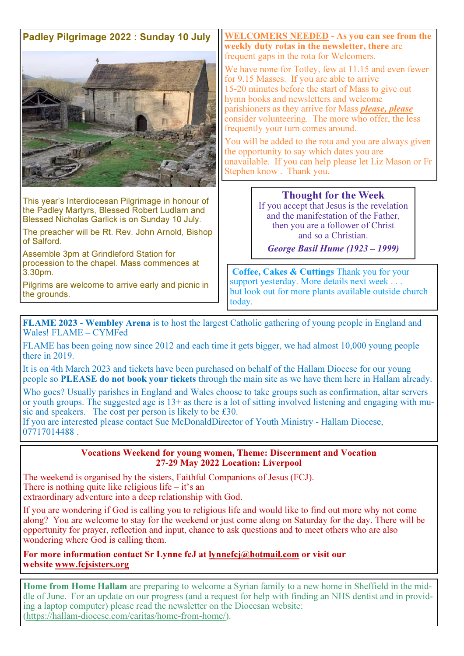# Padley Pilgrimage 2022 : Sunday 10 July



This year's Interdiocesan Pilgrimage in honour of the Padley Martyrs, Blessed Robert Ludlam and Blessed Nicholas Garlick is on Sunday 10 July.

The preacher will be Rt. Rev. John Arnold, Bishop of Salford.

Assemble 3pm at Grindleford Station for procession to the chapel. Mass commences at 3.30pm.

Pilgrims are welcome to arrive early and picnic in the grounds.

WELCOMERS NEEDED **-** As you can see from the weekly duty rotas in the newsletter, there are frequent gaps in the rota for Welcomers.

We have none for Totley, few at 11.15 and even fewer for 9.15 Masses. If you are able to arrive 15-20 minutes before the start of Mass to give out hymn books and newsletters and welcome parishioners as they arrive for Mass please, please consider volunteering. The more who offer, the less frequently your turn comes around.

You will be added to the rota and you are always given the opportunity to say which dates you are unavailable. If you can help please let Liz Mason or Fr Stephen know . Thank you.

### Thought for the Week

If you accept that Jesus is the revelation and the manifestation of the Father, then you are a follower of Christ and so a Christian.

George Basil Hume (1923 *–* 1999)

 Coffee, Cakes & Cuttings Thank you for your support yesterday. More details next week . . . but look out for more plants available outside church today.

FLAME 2023 **-** Wembley Arena is to host the largest Catholic gathering of young people in England and Wales! FLAME – CYMFed

FLAME has been going now since 2012 and each time it gets bigger, we had almost 10,000 young people there in 2019.

It is on 4th March 2023 and tickets have been purchased on behalf of the Hallam Diocese for our young people so PLEASE do not book your tickets through the main site as we have them here in Hallam already.

Who goes? Usually parishes in England and Wales choose to take groups such as confirmation, altar servers or youth groups. The suggested age is 13+ as there is a lot of sitting involved listening and engaging with music and speakers. The cost per person is likely to be £30.

If you are interested please contact Sue McDonaldDirector of Youth Ministry - Hallam Diocese, 07717014488 .

#### Vocations Weekend for young women, Theme: Discernment and Vocation 27**-**29 May 2022 Location: Liverpool

The weekend is organised by the sisters, Faithful Companions of Jesus (FCJ). There is nothing quite like religious life  $-$  it's an extraordinary adventure into a deep relationship with God.

If you are wondering if God is calling you to religious life and would like to find out more why not come along? You are welcome to stay for the weekend or just come along on Saturday for the day. There will be opportunity for prayer, reflection and input, chance to ask questions and to meet others who are also wondering where God is calling them.

For more information contact Sr Lynne fcJ at lynnefcj@hotmail.com or visit our website www.fcjsisters.org

Home from Home Hallam are preparing to welcome a Syrian family to a new home in Sheffield in the middle of June. For an update on our progress (and a request for help with finding an NHS dentist and in providing a laptop computer) please read the newsletter on the Diocesan website: (https://hallam-diocese.com/caritas/home-from-home/).